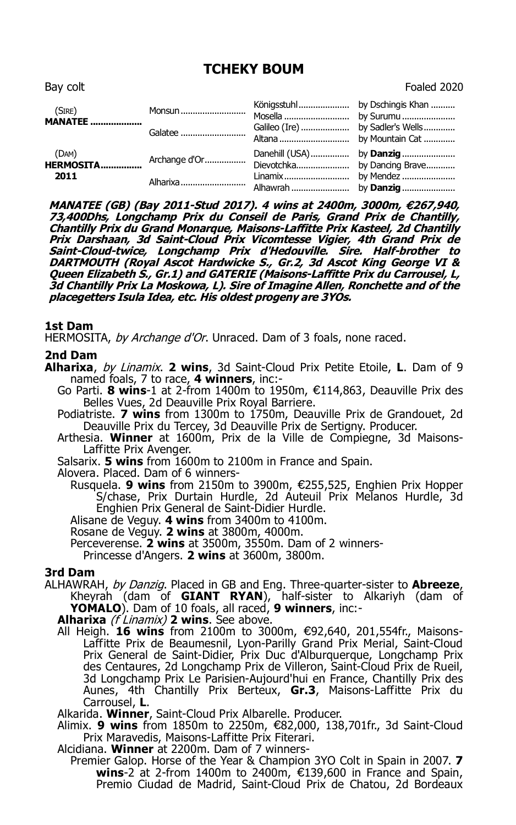# **TCHEKY BOUM**

| Bay colt                   |               |         | Foaled 2020 |
|----------------------------|---------------|---------|-------------|
| (SIRE)<br><b>MANATEE</b>   | Monsun        | Mosella | by Surumu   |
|                            | Galatee       |         |             |
| (DAM)<br>HERMOSITA<br>2011 | Archange d'Or |         |             |
|                            | Alharixa      | Linamix | by Mendez   |

**MANATEE (GB) (Bay 2011-Stud 2017). 4 wins at 2400m, 3000m, 267,940,** € **73,400Dhs, Longchamp Prix du Conseil de Paris, Grand Prix de Chantilly, Chantilly Prix du Grand Monarque, Maisons-Laffitte Prix Kasteel, 2d Chantilly Prix Darshaan, 3d Saint-Cloud Prix Vicomtesse Vigier, 4th Grand Prix de Saint-Cloud-twice, Longchamp Prix d'Hedouville. Sire. Half-brother to DARTMOUTH (Royal Ascot Hardwicke S., Gr.2, 3d Ascot King George VI & Queen Elizabeth S., Gr.1) and GATERIE (Maisons-Laffitte Prix du Carrousel, L, 3d Chantilly Prix La Moskowa, L). Sire of Imagine Allen, Ronchette and of the placegetters Isula Idea, etc. His oldest progeny are 3YOs.**

## **1st Dam**

HERMOSITA, by Archange d'Or. Unraced. Dam of 3 foals, none raced.

### **2nd Dam**

- **Alharixa**, by Linamix. **2 wins**, 3d Saint-Cloud Prix Petite Etoile, **L**. Dam of 9 named foals, 7 to race, **4 winners**, inc:-
	- Go Parti. **8 wins**-1 at 2-from 1400m to 1950m, €114,863, Deauville Prix des Belles Vues, 2d Deauville Prix Royal Barriere.
	- Podiatriste. **7 wins** from 1300m to 1750m, Deauville Prix de Grandouet, 2d Deauville Prix du Tercey, 3d Deauville Prix de Sertigny. Producer.
	- Arthesia. **Winner** at 1600m, Prix de la Ville de Compiegne, 3d Maisons-Laffitte Prix Avenger.
	- Salsarix. **5 wins** from 1600m to 2100m in France and Spain.
	- Alovera. Placed. Dam of 6 winners-
		- Rusquela. **9 wins** from 2150m to 3900m, €255,525, Enghien Prix Hopper S/chase, Prix Durtain Hurdle, 2d Auteuil Prix Melanos Hurdle, 3d Enghien Prix General de Saint-Didier Hurdle.
		- Alisane de Veguy. **4 wins** from 3400m to 4100m.
		- Rosane de Veguy. **2 wins** at 3800m, 4000m.
		- Perceverense. **2 wins** at 3500m, 3550m. Dam of 2 winners-

Princesse d'Angers. **2 wins** at 3600m, 3800m.

#### **3rd Dam**

ALHAWRAH, by Danzig. Placed in GB and Eng. Three-quarter-sister to **Abreeze**, Kheyrah (dam of **GIANT RYAN**), half-sister to Alkariyh (dam of **YOMALO**). Dam of 10 foals, all raced, **9 winners**, inc:-

**Alharixa** (f Linamix) **2 wins**. See above.

All Heigh. **16 wins** from 2100m to 3000m, €92,640, 201,554fr., Maisons-Laffitte Prix de Beaumesnil, Lyon-Parilly Grand Prix Merial, Saint-Cloud Prix General de Saint-Didier, Prix Duc d'Alburquerque, Longchamp Prix des Centaures, 2d Longchamp Prix de Villeron, Saint-Cloud Prix de Rueil, 3d Longchamp Prix Le Parisien-Aujourd'hui en France, Chantilly Prix des Aunes, 4th Chantilly Prix Berteux, **Gr.3**, Maisons-Laffitte Prix du Carrousel, **L**.

Alkarida. **Winner**, Saint-Cloud Prix Albarelle. Producer.

- Alimix. **9 wins** from 1850m to 2250m, €82,000, 138,701fr., 3d Saint-Cloud Prix Maravedis, Maisons-Laffitte Prix Fiterari.
- Alcidiana. **Winner** at 2200m. Dam of 7 winners-
	- Premier Galop. Horse of the Year & Champion 3YO Colt in Spain in 2007. **7 wins**-2 at 2-from 1400m to 2400m, €139,600 in France and Spain, Premio Ciudad de Madrid, Saint-Cloud Prix de Chatou, 2d Bordeaux